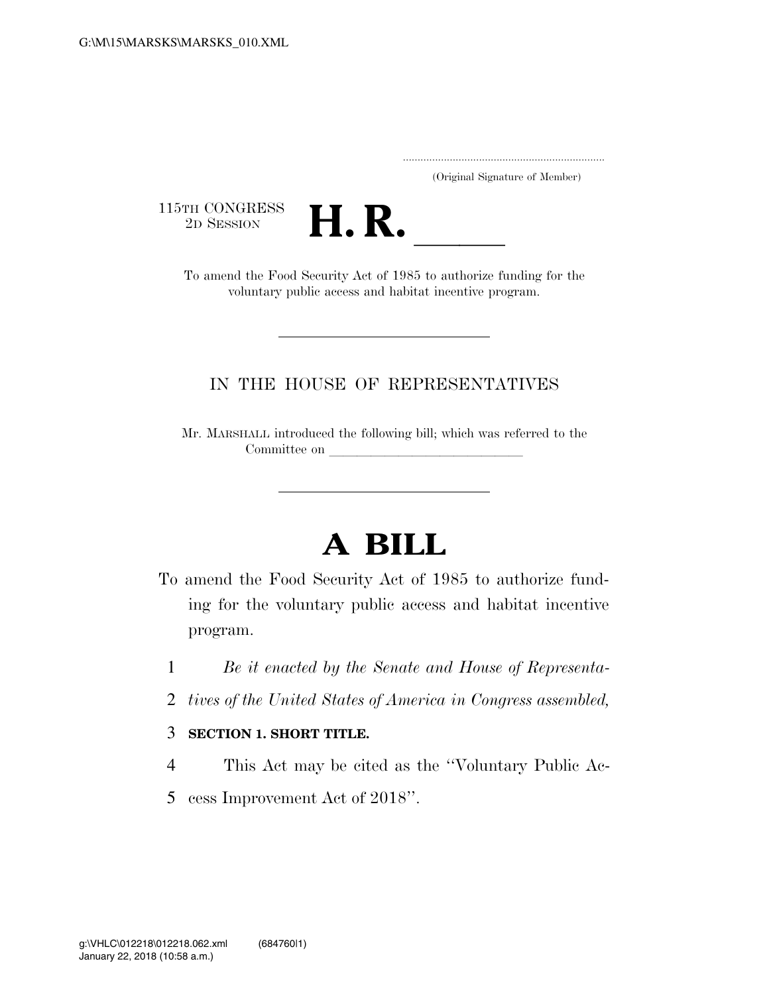..................................................................... (Original Signature of Member)

115TH CONGRESS<br>2D SESSION



TH CONGRESS<br>
2D SESSION<br>
To amend the Food Security Act of 1985 to authorize funding for the voluntary public access and habitat incentive program.

## IN THE HOUSE OF REPRESENTATIVES

Mr. MARSHALL introduced the following bill; which was referred to the Committee on

## **A BILL**

- To amend the Food Security Act of 1985 to authorize funding for the voluntary public access and habitat incentive program.
	- 1 *Be it enacted by the Senate and House of Representa-*
	- 2 *tives of the United States of America in Congress assembled,*

## 3 **SECTION 1. SHORT TITLE.**

- 4 This Act may be cited as the ''Voluntary Public Ac-
- 5 cess Improvement Act of 2018''.